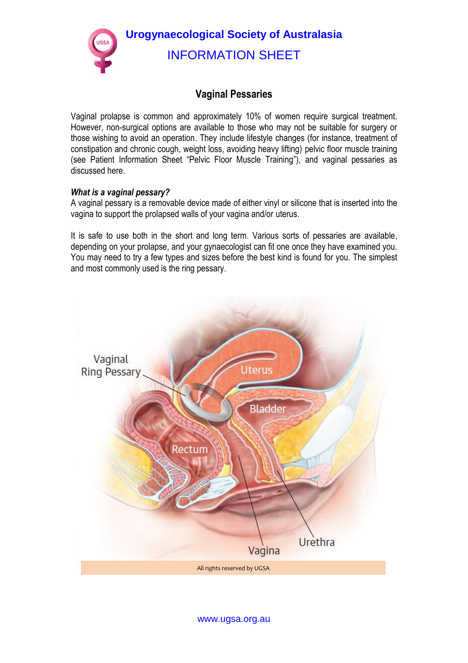**Urogynaecological Society of Australasia**  INFORMATION SHEET

# **Vaginal Pessaries**

Vaginal prolapse is common and approximately 10% of women require surgical treatment. However, non-surgical options are available to those who may not be suitable for surgery or those wishing to avoid an operation. They include lifestyle changes (for instance, treatment of constipation and chronic cough, weight loss, avoiding heavy lifting) pelvic floor muscle training (see Patient Information Sheet "Pelvic Floor Muscle Training"), and vaginal pessaries as discussed here.

### *What is a vaginal pessary?*

A vaginal pessary is a removable device made of either vinyl or silicone that is inserted into the vagina to support the prolapsed walls of your vagina and/or uterus.

It is safe to use both in the short and long term. Various sorts of pessaries are available, depending on your prolapse, and your gynaecologist can fit one once they have examined you. You may need to try a few types and sizes before the best kind is found for you. The simplest and most commonly used is the ring pessary.



www.ugsa.org.au